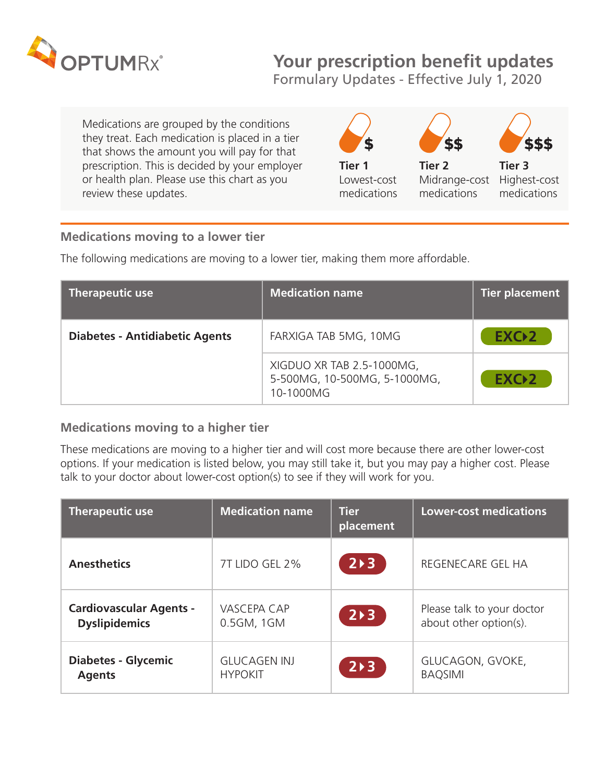

## **Your prescription benefit updates**

Formulary Updates - Effective July 1, 2020

Medications are grouped by the conditions they treat. Each medication is placed in a tier that shows the amount you will pay for that prescription. This is decided by your employer **Tier 1** Tier 2 Tier 3



## **Medications moving to a lower tier**

The following medications are moving to a lower tier, making them more affordable.

| <b>Therapeutic use</b>                | <b>Medication name</b>                                                 | Tier placement   |
|---------------------------------------|------------------------------------------------------------------------|------------------|
| <b>Diabetes - Antidiabetic Agents</b> | FARXIGA TAB 5MG, 10MG                                                  | EXC <sub>2</sub> |
|                                       | XIGDUO XR TAB 2.5-1000MG,<br>5-500MG, 10-500MG, 5-1000MG,<br>10-1000MG | EXC <sub>2</sub> |

## **Medications moving to a higher tier**

These medications are moving to a higher tier and will cost more because there are other lower-cost options. If your medication is listed below, you may still take it, but you may pay a higher cost. Please talk to your doctor about lower-cost option(s) to see if they will work for you.

| <b>Therapeutic use</b>         | <b>Medication name</b> | <b>Tier</b><br>placement | <b>Lower-cost medications</b> |
|--------------------------------|------------------------|--------------------------|-------------------------------|
| <b>Anesthetics</b>             | 7T LIDO GEL 2%         | $2 \rightarrow 3$        | REGENECARE GEL HA             |
| <b>Cardiovascular Agents -</b> | <b>VASCEPA CAP</b>     | $2 \rightarrow 3$        | Please talk to your doctor    |
| <b>Dyslipidemics</b>           | 0.5GM, 1GM             |                          | about other option(s).        |
| <b>Diabetes - Glycemic</b>     | <b>GLUCAGEN INJ</b>    | $2 \rightarrow 3$        | GLUCAGON, GVOKE,              |
| <b>Agents</b>                  | <b>HYPOKIT</b>         |                          | <b>BAQSIMI</b>                |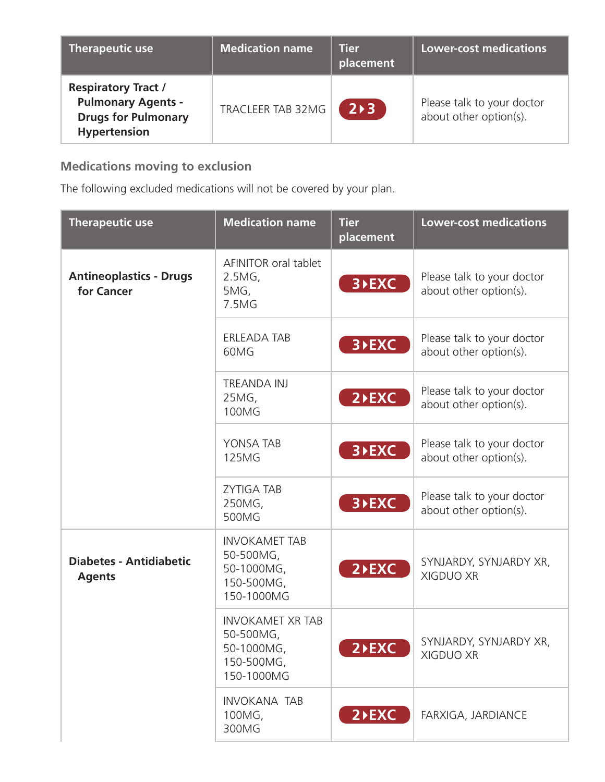| <b>Therapeutic use</b>                                                                                       | <b>Medication name</b> | <b>Tier</b><br>placement | Lower-cost medications                               |
|--------------------------------------------------------------------------------------------------------------|------------------------|--------------------------|------------------------------------------------------|
| <b>Respiratory Tract /</b><br><b>Pulmonary Agents -</b><br><b>Drugs for Pulmonary</b><br><b>Hypertension</b> | TRACLEER TAB 32MG      | $2 \rightarrow 3$        | Please talk to your doctor<br>about other option(s). |

## **Medications moving to exclusion**

The following excluded medications will not be covered by your plan.

| <b>Therapeutic use</b>                          | <b>Medication name</b>                                                        | Tier<br>placement  | <b>Lower-cost medications</b>                        |
|-------------------------------------------------|-------------------------------------------------------------------------------|--------------------|------------------------------------------------------|
| <b>Antineoplastics - Drugs</b><br>for Cancer    | AFINITOR oral tablet<br>$2.5MG$ ,<br>5MG,<br>7.5MG                            | 3 <b>&gt;EXC</b>   | Please talk to your doctor<br>about other option(s). |
|                                                 | <b>ERLEADA TAB</b><br>60MG                                                    | 3 <b>FXC</b>       | Please talk to your doctor<br>about other option(s). |
|                                                 | <b>TREANDA INJ</b><br>25MG,<br>100MG                                          | $2$ <b>EXC</b>     | Please talk to your doctor<br>about other option(s). |
|                                                 | YONSA TAB<br><b>125MG</b>                                                     | 3 <b>&gt;EXC</b>   | Please talk to your doctor<br>about other option(s). |
|                                                 | <b>ZYTIGA TAB</b><br>250MG,<br>500MG                                          | 3 <b>&gt;EXC</b>   | Please talk to your doctor<br>about other option(s). |
| <b>Diabetes - Antidiabetic</b><br><b>Agents</b> | <b>INVOKAMET TAB</b><br>50-500MG,<br>50-1000MG,<br>150-500MG,<br>150-1000MG   | $2$ <b>EXC</b>     | SYNJARDY, SYNJARDY XR,<br><b>XIGDUO XR</b>           |
|                                                 | <b>INVOKAMET XR TAB</b><br>50-500MG,<br>50-1000MG<br>150-500MG,<br>150-1000MG | 2 <sup>D</sup> EXC | SYNJARDY, SYNJARDY XR,<br>XIGDUO XR                  |
|                                                 | <b>INVOKANA TAB</b><br>100MG,<br>300MG                                        | $2$ <b>EXC</b>     | FARXIGA, JARDIANCE                                   |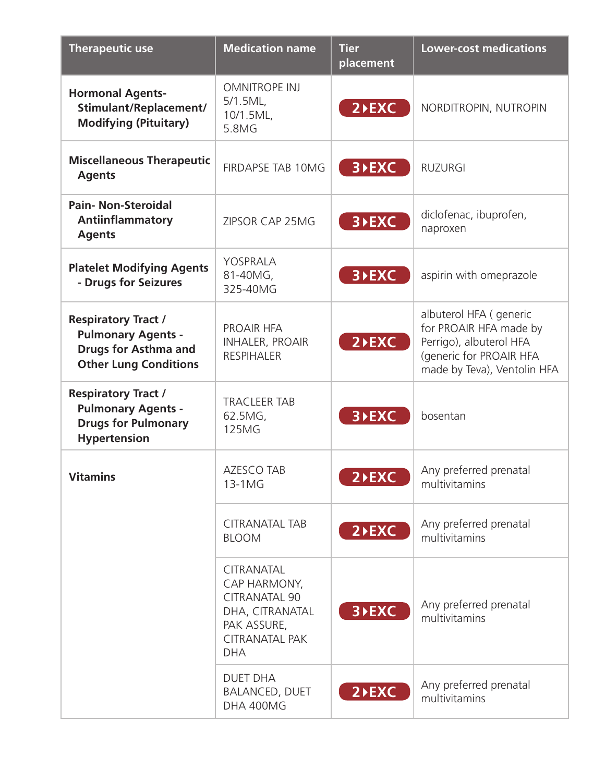| <b>Therapeutic use</b>                                                                                                 | <b>Medication name</b>                                                                                                             | <b>Tier</b><br>placement | <b>Lower-cost medications</b>                                                                                                         |
|------------------------------------------------------------------------------------------------------------------------|------------------------------------------------------------------------------------------------------------------------------------|--------------------------|---------------------------------------------------------------------------------------------------------------------------------------|
| <b>Hormonal Agents-</b><br>Stimulant/Replacement/<br><b>Modifying (Pituitary)</b>                                      | <b>OMNITROPE INJ</b><br>5/1.5ML<br>10/1.5ML,<br>5.8MG                                                                              | $2$ <b>EXC</b>           | NORDITROPIN, NUTROPIN                                                                                                                 |
| <b>Miscellaneous Therapeutic</b><br><b>Agents</b>                                                                      | <b>FIRDAPSE TAB 10MG</b>                                                                                                           | 3 <b>&gt;EXC</b>         | <b>RUZURGI</b>                                                                                                                        |
| <b>Pain-Non-Steroidal</b><br><b>Antiinflammatory</b><br><b>Agents</b>                                                  | ZIPSOR CAP 25MG                                                                                                                    | 3 <b>&gt;EXC</b>         | diclofenac, ibuprofen,<br>naproxen                                                                                                    |
| <b>Platelet Modifying Agents</b><br>- Drugs for Seizures                                                               | YOSPRALA<br>81-40MG,<br>325-40MG                                                                                                   | 3 <b>&gt;EXC</b>         | aspirin with omeprazole                                                                                                               |
| <b>Respiratory Tract /</b><br><b>Pulmonary Agents -</b><br><b>Drugs for Asthma and</b><br><b>Other Lung Conditions</b> | PROAIR HFA<br><b>INHALER, PROAIR</b><br><b>RESPIHALER</b>                                                                          | $2$ <b>EXC</b>           | albuterol HFA (generic<br>for PROAIR HFA made by<br>Perrigo), albuterol HFA<br>(generic for PROAIR HFA<br>made by Teva), Ventolin HFA |
| <b>Respiratory Tract /</b><br><b>Pulmonary Agents -</b><br><b>Drugs for Pulmonary</b><br><b>Hypertension</b>           | <b>TRACLEER TAB</b><br>62.5MG,<br><b>125MG</b>                                                                                     | 3 <b>&gt;EXC</b>         | bosentan                                                                                                                              |
| <b>Vitamins</b>                                                                                                        | <b>AZESCO TAB</b><br>13-1MG                                                                                                        | $2$ <b>EXC</b>           | Any preferred prenatal<br>multivitamins                                                                                               |
|                                                                                                                        | <b>CITRANATAL TAB</b><br><b>BLOOM</b>                                                                                              | $2$ <b>EXC</b>           | Any preferred prenatal<br>multivitamins                                                                                               |
|                                                                                                                        | <b>CITRANATAL</b><br>CAP HARMONY,<br><b>CITRANATAL 90</b><br>DHA, CITRANATAL<br>PAK ASSURE,<br><b>CITRANATAL PAK</b><br><b>DHA</b> | 3 <b>&gt;EXC</b>         | Any preferred prenatal<br>multivitamins                                                                                               |
|                                                                                                                        | <b>DUET DHA</b><br><b>BALANCED, DUET</b><br>DHA 400MG                                                                              | $2$ <b>EXC</b>           | Any preferred prenatal<br>multivitamins                                                                                               |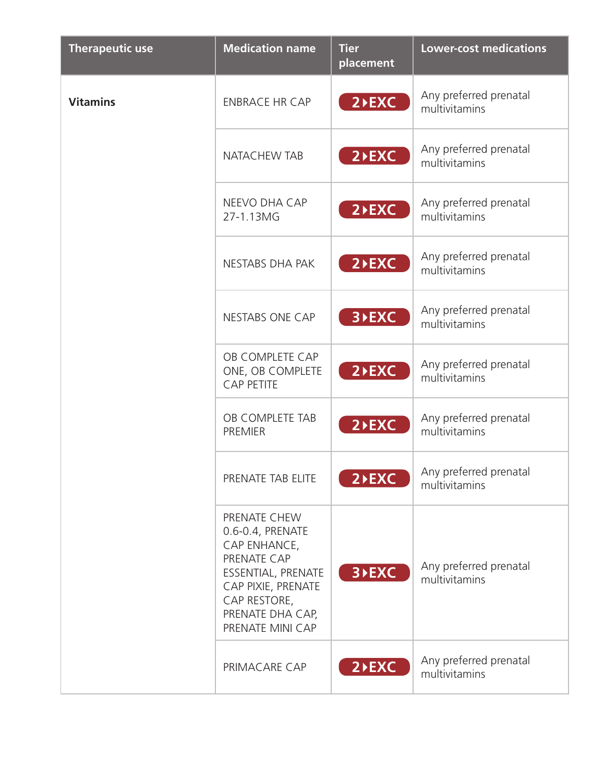| <b>Therapeutic use</b> | <b>Medication name</b>                                                                                                                                              | <b>Tier</b><br>placement | <b>Lower-cost medications</b>           |
|------------------------|---------------------------------------------------------------------------------------------------------------------------------------------------------------------|--------------------------|-----------------------------------------|
| <b>Vitamins</b>        | <b>ENBRACE HR CAP</b>                                                                                                                                               | $2$ <b>EXC</b>           | Any preferred prenatal<br>multivitamins |
|                        | <b>NATACHEW TAB</b>                                                                                                                                                 | $2$ <b>EXC</b>           | Any preferred prenatal<br>multivitamins |
|                        | NEEVO DHA CAP<br>27-1.13MG                                                                                                                                          | $2$ <b>EXC</b>           | Any preferred prenatal<br>multivitamins |
|                        | NESTABS DHA PAK                                                                                                                                                     | $2$ <b>EXC</b>           | Any preferred prenatal<br>multivitamins |
|                        | <b>NESTABS ONE CAP</b>                                                                                                                                              | 3 <b>&gt;EXC</b>         | Any preferred prenatal<br>multivitamins |
|                        | OB COMPLETE CAP<br>ONE, OB COMPLETE<br><b>CAP PETITE</b>                                                                                                            | $2$ <b>EXC</b>           | Any preferred prenatal<br>multivitamins |
|                        | OB COMPLETE TAB<br><b>PREMIER</b>                                                                                                                                   | $2$ <b>EXC</b>           | Any preferred prenatal<br>multivitamins |
|                        | PRENATE TAB ELITE                                                                                                                                                   | $2$ $\overline{EXC}$     | Any preferred prenatal<br>multivitamins |
|                        | PRENATE CHEW<br>0.6-0.4, PRENATE<br>CAP ENHANCE,<br>PRENATE CAP<br>ESSENTIAL, PRENATE<br>CAP PIXIE, PRENATE<br>CAP RESTORE,<br>PRENATE DHA CAP,<br>PRENATE MINI CAP | 3 <b>&gt;EXC</b>         | Any preferred prenatal<br>multivitamins |
|                        | PRIMACARE CAP                                                                                                                                                       | $2$ <b>EXC</b>           | Any preferred prenatal<br>multivitamins |